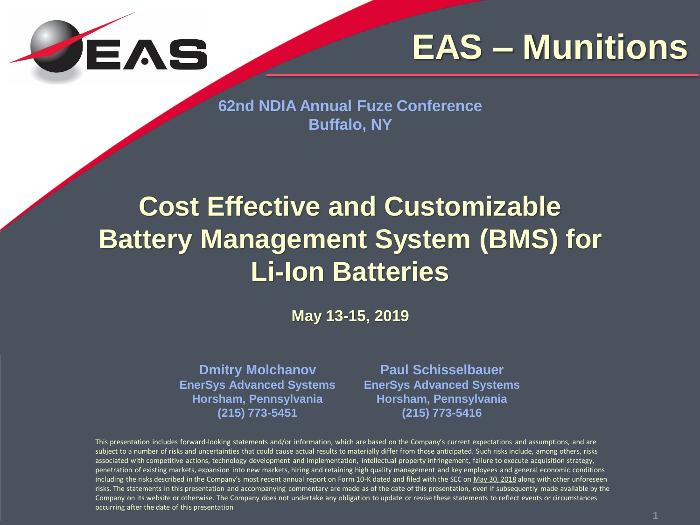

**62nd NDIA Annual Fuze Conference Buffalo, NY** 

### **Cost Effective and Customizable Battery Management System (BMS) for Li-Ion Batteries**

**May 13-15, 2019**

**Dmitry Molchanov EnerSys Advanced Systems Horsham, Pennsylvania (215) 773-5451**

**Paul Schisselbauer EnerSys Advanced Systems Horsham, Pennsylvania (215) 773-5416**

This presentation includes forward-looking statements and/or information, which are based on the Company's current expectations and assumptions, and are subject to a number of risks and uncertainties that could cause actual results to materially differ from those anticipated. Such risks include, among others, risks associated with competitive actions, technology development and implementation, intellectual property infringement, failure to execute acquisition strategy, penetration of existing markets, expansion into new markets, hiring and retaining high quality management and key employees and general economic conditions including the risks described in the Company's most recent annual report on Form 10-K dated and filed with the SEC on May 30, 2018 along with other unforeseen risks. The statements in this presentation and accompanying commentary are made as of the date of this presentation, even if subsequently made available by the Company on its website or otherwise. The Company does not undertake any obligation to update or revise these statements to reflect events or circumstances occurring after the date of this presentation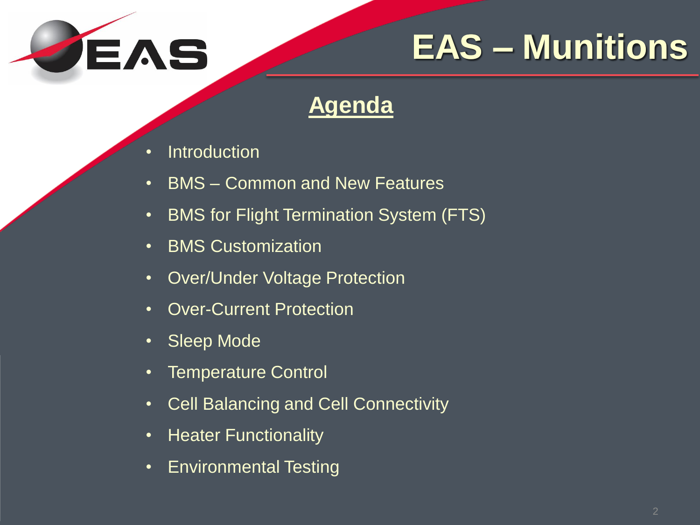

#### **Agenda**

- Introduction
- BMS Common and New Features
- BMS for Flight Termination System (FTS)
- BMS Customization
- Over/Under Voltage Protection
- Over-Current Protection
- Sleep Mode
- Temperature Control
- Cell Balancing and Cell Connectivity
- Heater Functionality
- Environmental Testing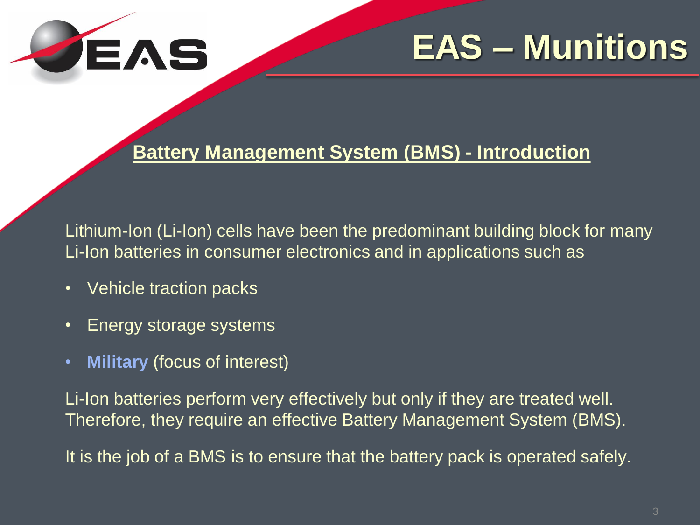

#### **Battery Management System (BMS) - Introduction**

Lithium-Ion (Li-Ion) cells have been the predominant building block for many Li-Ion batteries in consumer electronics and in applications such as

- Vehicle traction packs
- Energy storage systems
- **Military** (focus of interest)

Li-Ion batteries perform very effectively but only if they are treated well. Therefore, they require an effective Battery Management System (BMS).

It is the job of a BMS is to ensure that the battery pack is operated safely.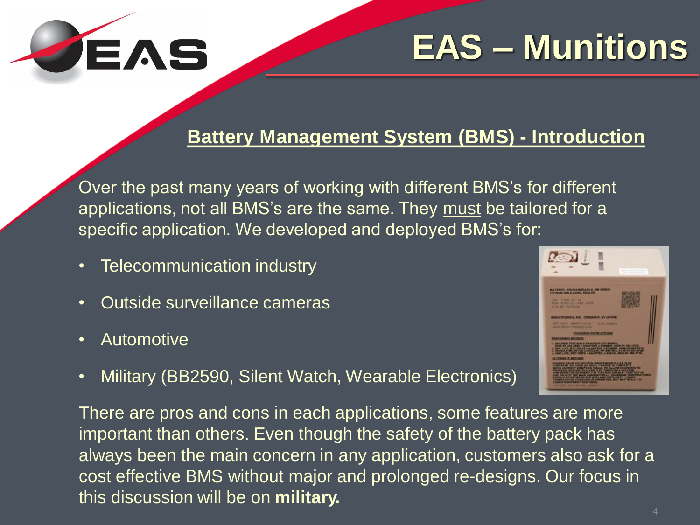

#### **Battery Management System (BMS) - Introduction**

Over the past many years of working with different BMS's for different applications, not all BMS's are the same. They must be tailored for a specific application. We developed and deployed BMS's for:

- Telecommunication industry
- Outside surveillance cameras
- Automotive
- 
- Military (BB2590, Silent Watch, Wearable Electronics)

There are pros and cons in each applications, some features are more important than others. Even though the safety of the battery pack has always been the main concern in any application, customers also ask for a cost effective BMS without major and prolonged re-designs. Our focus in this discussion will be on **military.**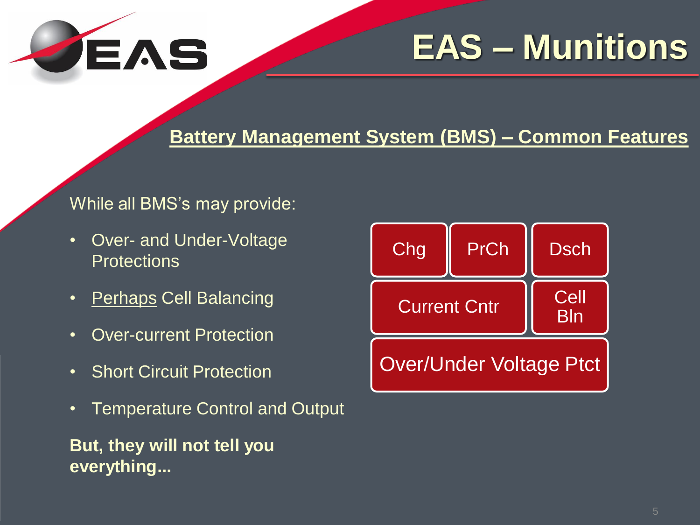

#### **Battery Management System (BMS) – Common Features**

#### While all BMS's may provide:

- Over- and Under-Voltage **Protections**
- Perhaps Cell Balancing
- Over-current Protection
- Short Circuit Protection
- Temperature Control and Output

**But, they will not tell you everything...**

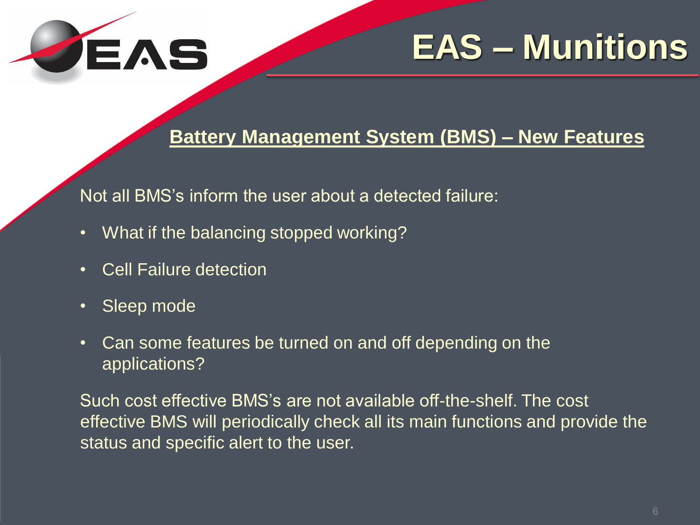

#### **Battery Management System (BMS) – New Features**

Not all BMS's inform the user about a detected failure:

- What if the balancing stopped working?
- Cell Failure detection
- Sleep mode
- Can some features be turned on and off depending on the applications?

Such cost effective BMS's are not available off-the-shelf. The cost effective BMS will periodically check all its main functions and provide the status and specific alert to the user.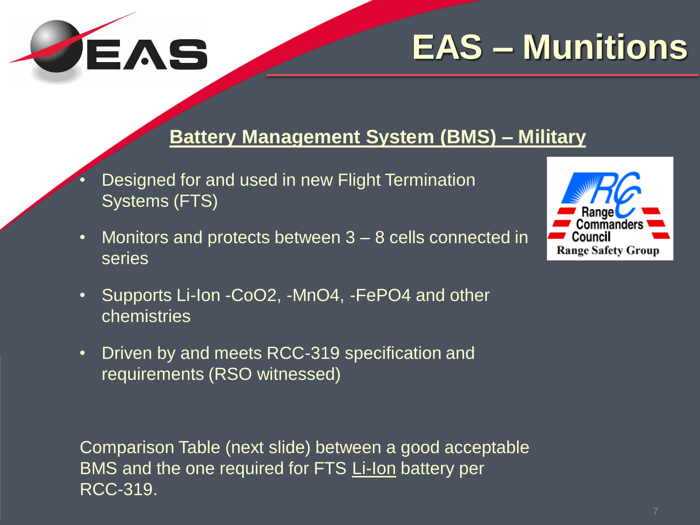

#### **Battery Management System (BMS) – Military**

- Designed for and used in new Flight Termination Systems (FTS)
- Monitors and protects between 3 8 cells connected in series



- Supports Li-Ion -CoO2, -MnO4, -FePO4 and other chemistries
- Driven by and meets RCC-319 specification and requirements (RSO witnessed)

Comparison Table (next slide) between a good acceptable BMS and the one required for FTS Li-Ion battery per RCC-319.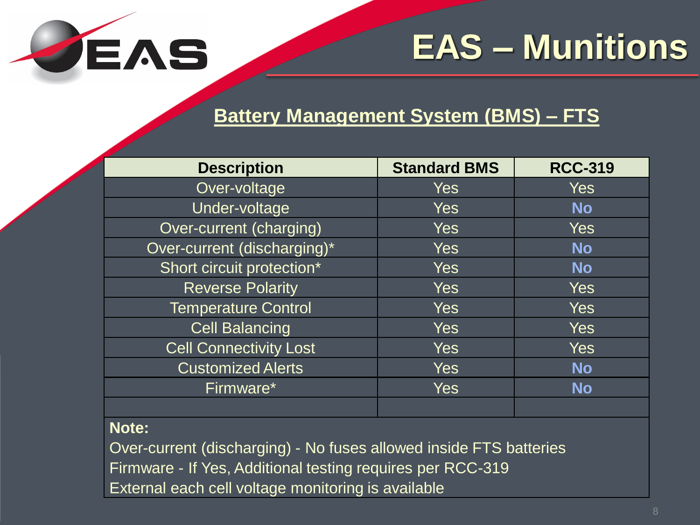

#### **Battery Management System (BMS) – FTS**

| <b>Description</b>            | <b>Standard BMS</b> | <b>RCC-319</b> |
|-------------------------------|---------------------|----------------|
| Over-voltage                  | <b>Yes</b>          | <b>Yes</b>     |
| Under-voltage                 | <b>Yes</b>          | <b>No</b>      |
| Over-current (charging)       | <b>Yes</b>          | Yes            |
| Over-current (discharging)*   | <b>Yes</b>          | <b>No</b>      |
| Short circuit protection*     | Yes                 | <b>No</b>      |
| <b>Reverse Polarity</b>       | <b>Yes</b>          | Yes            |
| <b>Temperature Control</b>    | <b>Yes</b>          | <b>Yes</b>     |
| <b>Cell Balancing</b>         | <b>Yes</b>          | <b>Yes</b>     |
| <b>Cell Connectivity Lost</b> | <b>Yes</b>          | Yes            |
| <b>Customized Alerts</b>      | Yes                 | <b>No</b>      |
| Firmware*                     | <b>Yes</b>          | <b>No</b>      |
|                               |                     |                |

#### **Note:**

Over-current (discharging) - No fuses allowed inside FTS batteries Firmware - If Yes, Additional testing requires per RCC-319 External each cell voltage monitoring is available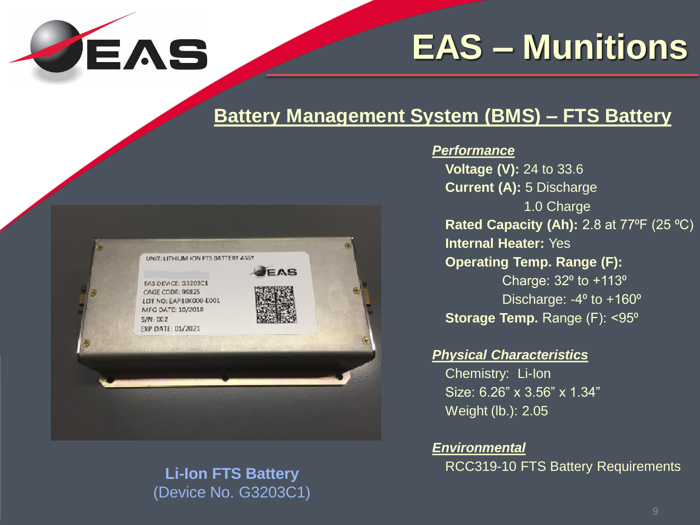

#### **Battery Management System (BMS) – FTS Battery**



### (Device No. G3203C1)

#### *Performance*

**Voltage (V):** 24 to 33.6 **Current (A):** 5 Discharge 1.0 Charge **Rated Capacity (Ah):** 2.8 at 77<sup>o</sup>F (25 <sup>o</sup>C) **Internal Heater:** Yes **Operating Temp. Range (F):**  Charge:  $32^{\circ}$  to  $+113^{\circ}$ Discharge:  $-4^\circ$  to  $+160^\circ$ **Storage Temp. Range (F): <95<sup>°</sup>** 

#### *Physical Characteristics*

Chemistry: Li-Ion Size: 6.26" x 3.56" x 1.34" Weight (lb.): 2.05

*Environmental* RCC319-10 FTS Battery Requirements **Li-Ion FTS Battery**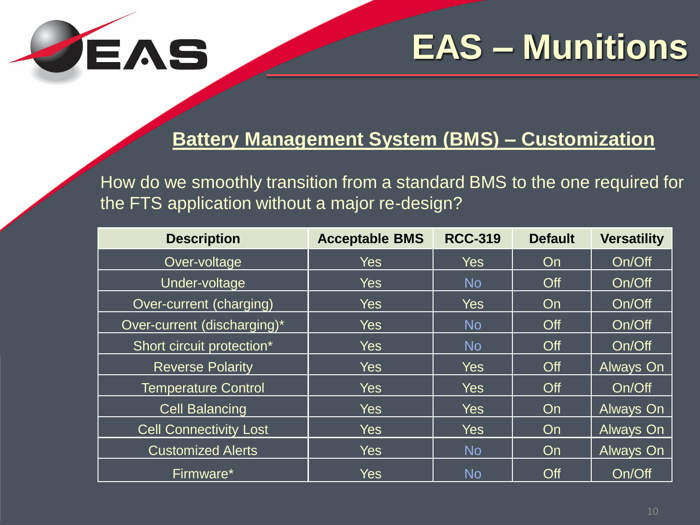

#### **Battery Management System (BMS) – Customization**

How do we smoothly transition from a standard BMS to the one required for the FTS application without a major re-design?

| <b>Description</b>            | <b>Acceptable BMS</b> | <b>RCC-319</b> | <b>Default</b> | <b>Versatility</b> |
|-------------------------------|-----------------------|----------------|----------------|--------------------|
| Over-voltage                  | <b>Yes</b>            | Yes            | On             | On/Off             |
| Under-voltage                 | <b>Yes</b>            | <b>No</b>      | Off            | On/Off             |
| Over-current (charging)       | <b>Yes</b>            | <b>Yes</b>     | On             | On/Off             |
| Over-current (discharging)*   | <b>Yes</b>            | <b>No</b>      | Off            | On/Off             |
| Short circuit protection*     | <b>Yes</b>            | <b>No</b>      | Off            | On/Off             |
| <b>Reverse Polarity</b>       | <b>Yes</b>            | Yes            | Off            | Always On          |
| <b>Temperature Control</b>    | <b>Yes</b>            | <b>Yes</b>     | Off            | On/Off             |
| <b>Cell Balancing</b>         | <b>Yes</b>            | <b>Yes</b>     | On             | Always On          |
| <b>Cell Connectivity Lost</b> | <b>Yes</b>            | <b>Yes</b>     | On             | Always On          |
| <b>Customized Alerts</b>      | <b>Yes</b>            | <b>No</b>      | On             | Always On          |
| Firmware*                     | <b>Yes</b>            | <b>No</b>      | Off            | On/Off             |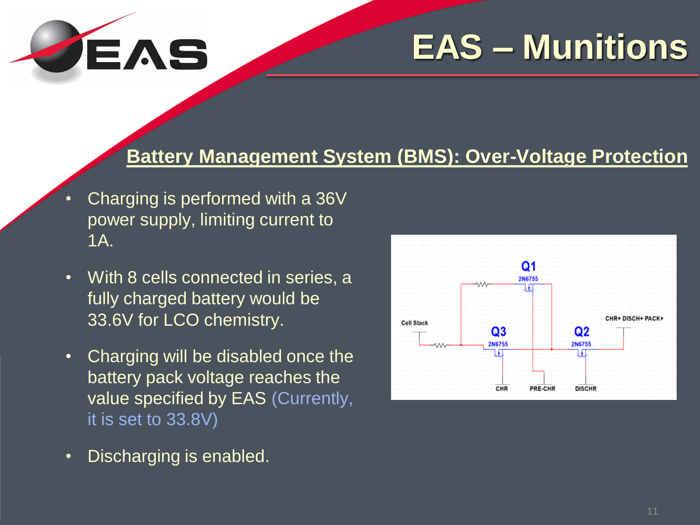

#### **Battery Management System (BMS): Over-Voltage Protection**

- Charging is performed with a 36V power supply, limiting current to 1A.
- With 8 cells connected in series, a fully charged battery would be 33.6V for LCO chemistry.
- Charging will be disabled once the battery pack voltage reaches the value specified by EAS (Currently, it is set to 33.8V)
- Discharging is enabled.

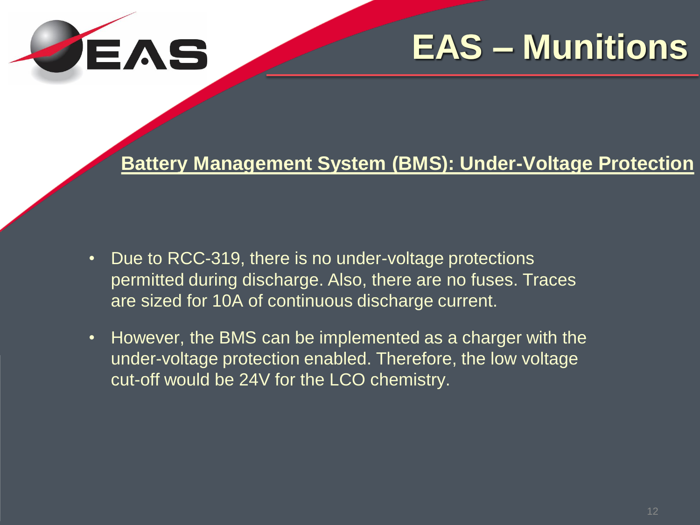

#### **Battery Management System (BMS): Under-Voltage Protection**

- Due to RCC-319, there is no under-voltage protections permitted during discharge. Also, there are no fuses. Traces are sized for 10A of continuous discharge current.
- However, the BMS can be implemented as a charger with the under-voltage protection enabled. Therefore, the low voltage cut-off would be 24V for the LCO chemistry.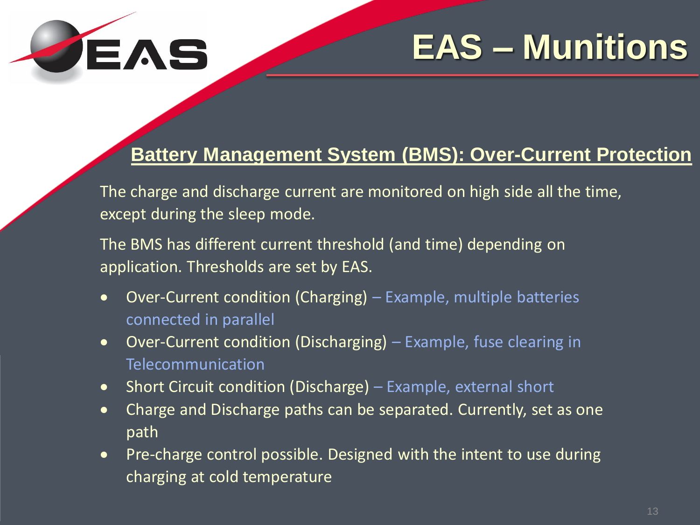

#### **Battery Management System (BMS): Over-Current Protection**

The charge and discharge current are monitored on high side all the time, except during the sleep mode.

The BMS has different current threshold (and time) depending on application. Thresholds are set by EAS.

- Over-Current condition (Charging) Example, multiple batteries connected in parallel
- Over-Current condition (Discharging) Example, fuse clearing in Telecommunication
- Short Circuit condition (Discharge) Example, external short
- Charge and Discharge paths can be separated. Currently, set as one path
- Pre-charge control possible. Designed with the intent to use during charging at cold temperature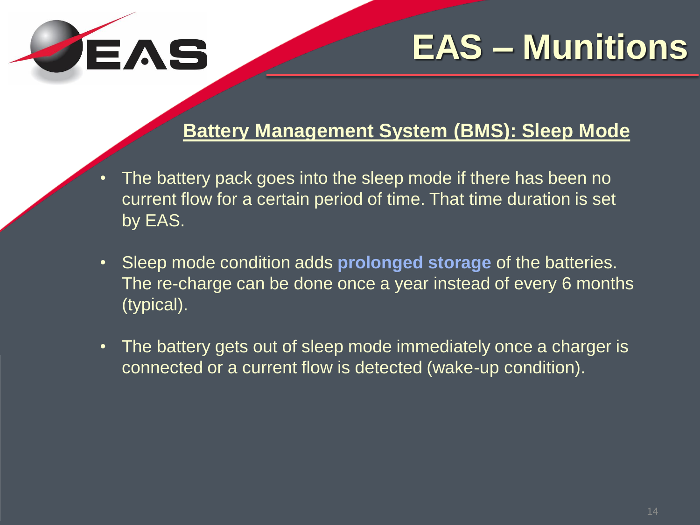

#### **Battery Management System (BMS): Sleep Mode**

- The battery pack goes into the sleep mode if there has been no current flow for a certain period of time. That time duration is set by EAS.
- Sleep mode condition adds **prolonged storage** of the batteries. The re-charge can be done once a year instead of every 6 months (typical).
- The battery gets out of sleep mode immediately once a charger is connected or a current flow is detected (wake-up condition).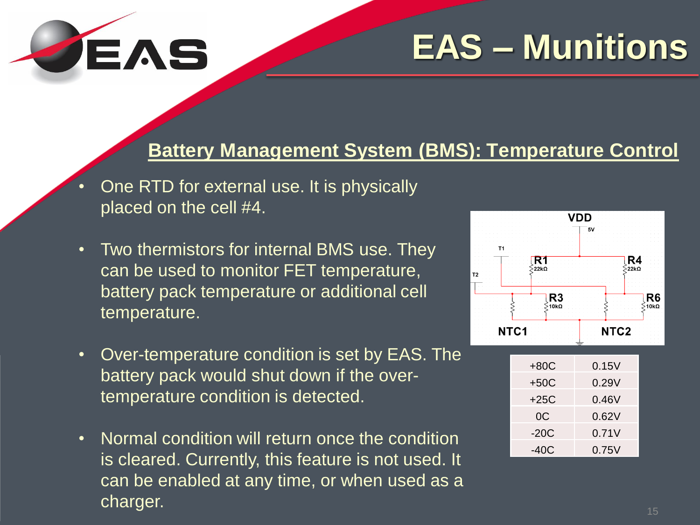

#### **Battery Management System (BMS): Temperature Control**

- One RTD for external use. It is physically placed on the cell #4.
- Two thermistors for internal BMS use. They can be used to monitor FET temperature, battery pack temperature or additional cell temperature.
- Over-temperature condition is set by EAS. The battery pack would shut down if the overtemperature condition is detected.
- Normal condition will return once the condition is cleared. Currently, this feature is not used. It can be enabled at any time, or when used as a charger.



| +80C   | 0.15V |  |
|--------|-------|--|
| $+50C$ | 0.29V |  |
| $+25C$ | 0.46V |  |
| 0C     | 0.62V |  |
| $-20C$ | 0.71V |  |
| $-40C$ | 0.75V |  |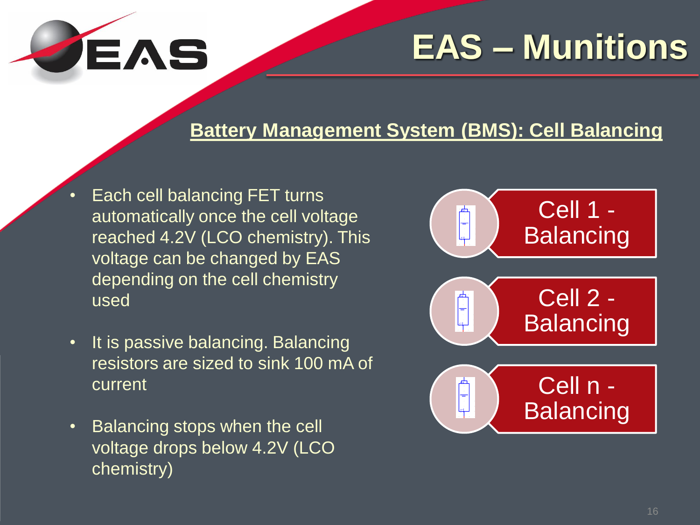

#### **Battery Management System (BMS): Cell Balancing**

- Each cell balancing FET turns automatically once the cell voltage reached 4.2V (LCO chemistry). This voltage can be changed by EAS depending on the cell chemistry used
- It is passive balancing. Balancing resistors are sized to sink 100 mA of current
- Balancing stops when the cell voltage drops below 4.2V (LCO chemistry)

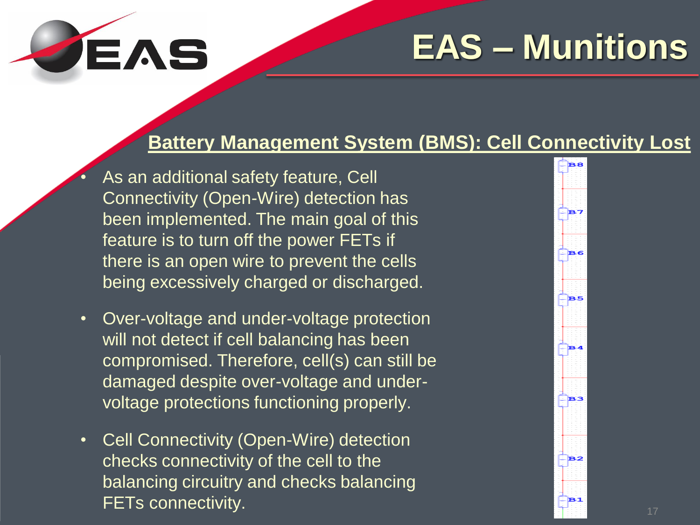# JEAS

## **EAS – Munitions**

#### **Battery Management System (BMS): Cell Connectivity Lost**

- As an additional safety feature, Cell Connectivity (Open-Wire) detection has been implemented. The main goal of this feature is to turn off the power FETs if there is an open wire to prevent the cells being excessively charged or discharged.
- Over-voltage and under-voltage protection will not detect if cell balancing has been compromised. Therefore, cell(s) can still be damaged despite over-voltage and undervoltage protections functioning properly.
- Cell Connectivity (Open-Wire) detection checks connectivity of the cell to the balancing circuitry and checks balancing FETs connectivity.

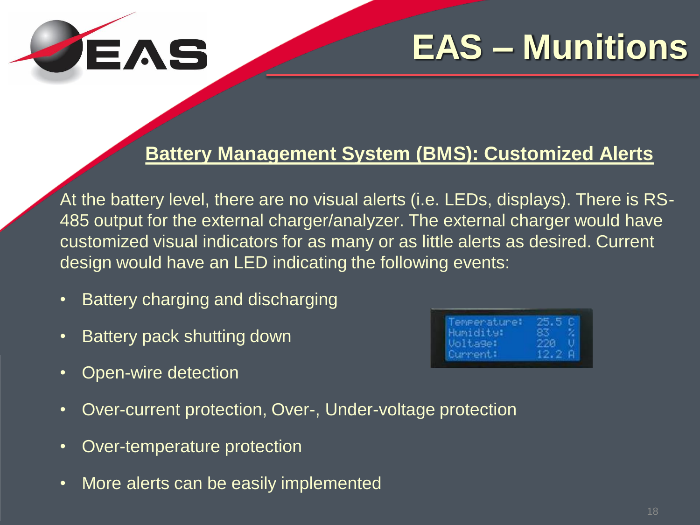

#### **Battery Management System (BMS): Customized Alerts**

At the battery level, there are no visual alerts (i.e. LEDs, displays). There is RS-485 output for the external charger/analyzer. The external charger would have customized visual indicators for as many or as little alerts as desired. Current design would have an LED indicating the following events:

- Battery charging and discharging
- Battery pack shutting down

| Temperature: | 25.5C  |  |
|--------------|--------|--|
| Humidity:    | 83. Z  |  |
| Voltage:     | 220 U  |  |
| Current:     | 12.2 A |  |

- Open-wire detection
- Over-current protection, Over-, Under-voltage protection
- Over-temperature protection
- More alerts can be easily implemented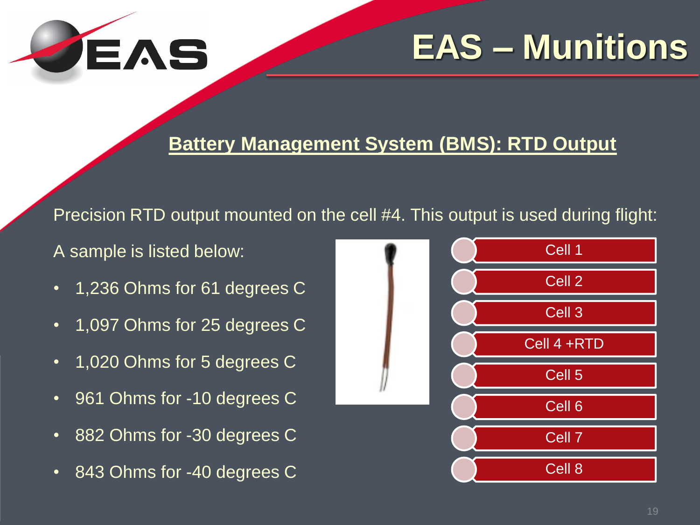

#### **Battery Management System (BMS): RTD Output**

Precision RTD output mounted on the cell #4. This output is used during flight:

A sample is listed below:

- 1,236 Ohms for 61 degrees C
- 1,097 Ohms for 25 degrees C
- 1,020 Ohms for 5 degrees C
- 961 Ohms for -10 degrees C
- 882 Ohms for -30 degrees C
- 843 Ohms for -40 degrees C

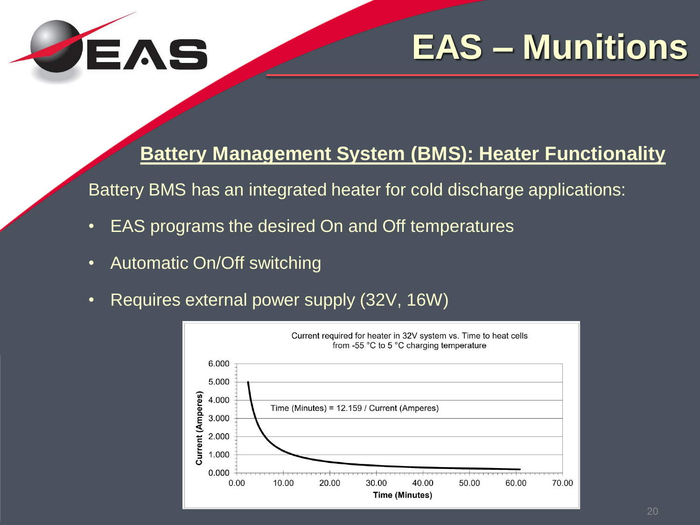

**Battery Management System (BMS): Heater Functionality**

Battery BMS has an integrated heater for cold discharge applications:

- EAS programs the desired On and Off temperatures
- Automatic On/Off switching
- Requires external power supply (32V, 16W)

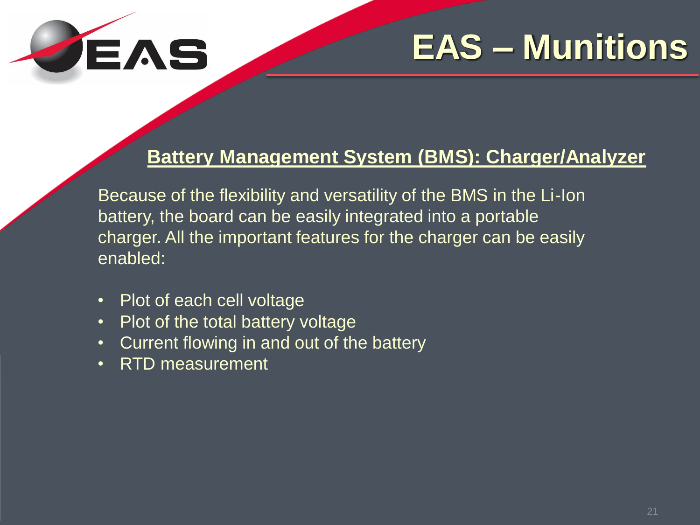

#### **Battery Management System (BMS): Charger/Analyzer**

Because of the flexibility and versatility of the BMS in the Li-Ion battery, the board can be easily integrated into a portable charger. All the important features for the charger can be easily enabled:

- Plot of each cell voltage
- Plot of the total battery voltage
- Current flowing in and out of the battery
- RTD measurement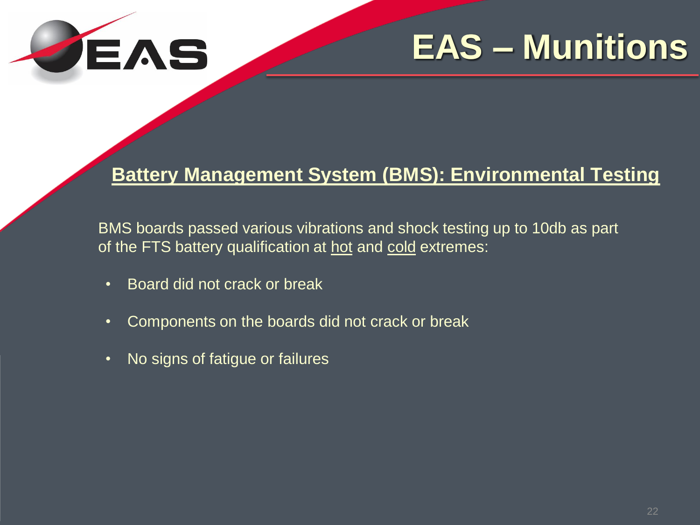

#### **Battery Management System (BMS): Environmental Testing**

BMS boards passed various vibrations and shock testing up to 10db as part of the FTS battery qualification at hot and cold extremes:

- Board did not crack or break
- Components on the boards did not crack or break
- No signs of fatigue or failures